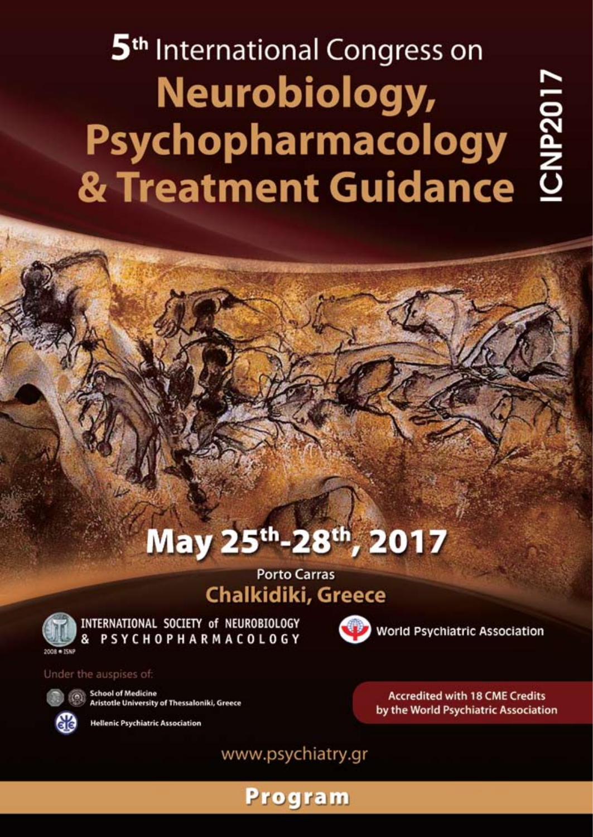## 5<sup>th</sup> International Congress on Neurobiology, **CNP2017** Psychopharmacology & Treatment Guidance

# May 25th-28th, 2017

## **Porto Carras Chalkidiki, Greece**



INTERNATIONAL SOCIETY of NEUROBIOLOGY **PSYCHOPHARMACOLOGY** 

#### Under the auspises of:

**School of Medicine** 



Aristotle University of Thessaloniki, Greece **Hellenic Psychiatric Association** 



World Psychiatric Association



## www.psychiatry.gr

**Program**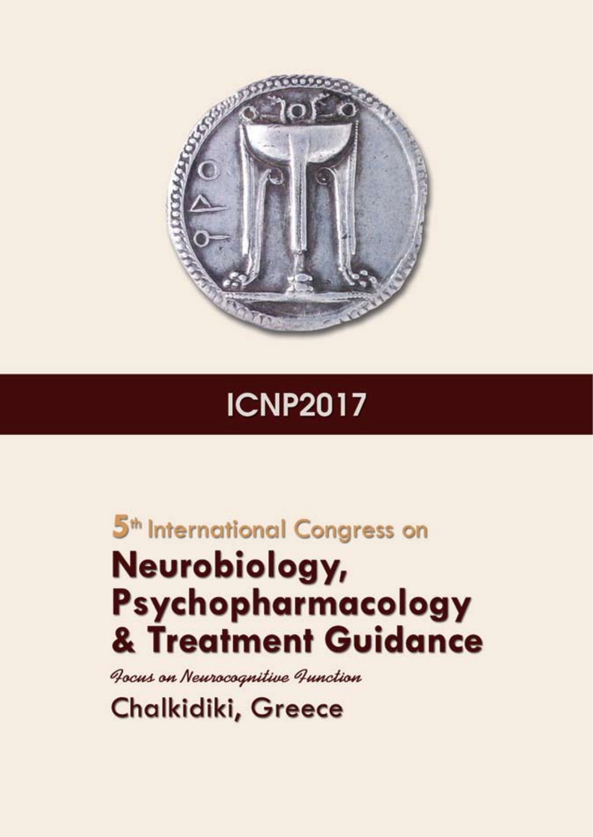

## **ICNP2017**

## 5<sup>th</sup> International Congress on Neurobiology, Psychopharmacology **& Treatment Guidance**

Jocus on Neurocognitive Junction Chalkidiki, Greece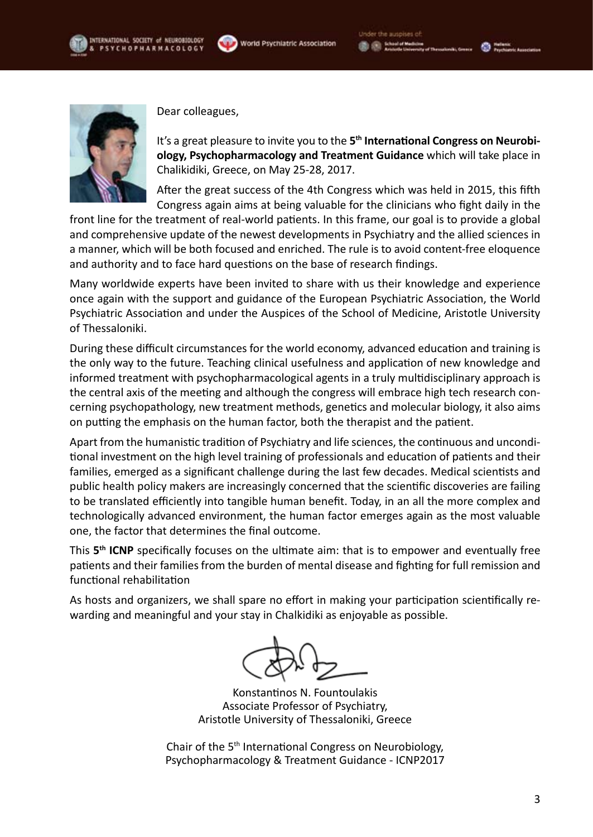



Dear colleagues,

It's a great pleasure to invite you to the 5<sup>th</sup> International Congress on Neurobi**ology, Psychopharmacology and Treatment Guidance** which will take place in Chalikidiki, Greece, on May 25-28, 2017.

After the great success of the 4th Congress which was held in 2015, this fifth Congress again aims at being valuable for the clinicians who fight daily in the

front line for the treatment of real-world patients. In this frame, our goal is to provide a global and comprehensive update of the newest developments in Psychiatry and the allied sciences in a manner, which will be both focused and enriched. The rule is to avoid content-free eloquence and authority and to face hard questions on the base of research findings.

Many worldwide experts have been invited to share with us their knowledge and experience once again with the support and guidance of the European Psychiatric Association, the World Psychiatric Association and under the Auspices of the School of Medicine, Aristotle University of Thessaloniki.

During these difficult circumstances for the world economy, advanced education and training is the only way to the future. Teaching clinical usefulness and application of new knowledge and informed treatment with psychopharmacological agents in a truly multidisciplinary approach is the central axis of the meeting and although the congress will embrace high tech research concerning psychopathology, new treatment methods, genetics and molecular biology, it also aims on putting the emphasis on the human factor, both the therapist and the patient.

Apart from the humanistic tradition of Psychiatry and life sciences, the continuous and unconditional investment on the high level training of professionals and education of patients and their families, emerged as a significant challenge during the last few decades. Medical scientists and public health policy makers are increasingly concerned that the scientific discoveries are failing to be translated efficiently into tangible human benefit. Today, in an all the more complex and technologically advanced environment, the human factor emerges again as the most valuable one, the factor that determines the final outcome.

This **5th ICNP** specifically focuses on the ultimate aim: that is to empower and eventually free patients and their families from the burden of mental disease and fighting for full remission and functional rehabilitation

As hosts and organizers, we shall spare no effort in making your participation scientifically rewarding and meaningful and your stay in Chalkidiki as enjoyable as possible.

Konstantinos N. Fountoulakis Associate Professor of Psychiatry, Aristotle University of Thessaloniki, Greece

Chair of the 5th International Congress on Neurobiology, Psychopharmacology & Treatment Guidance - ICNP2017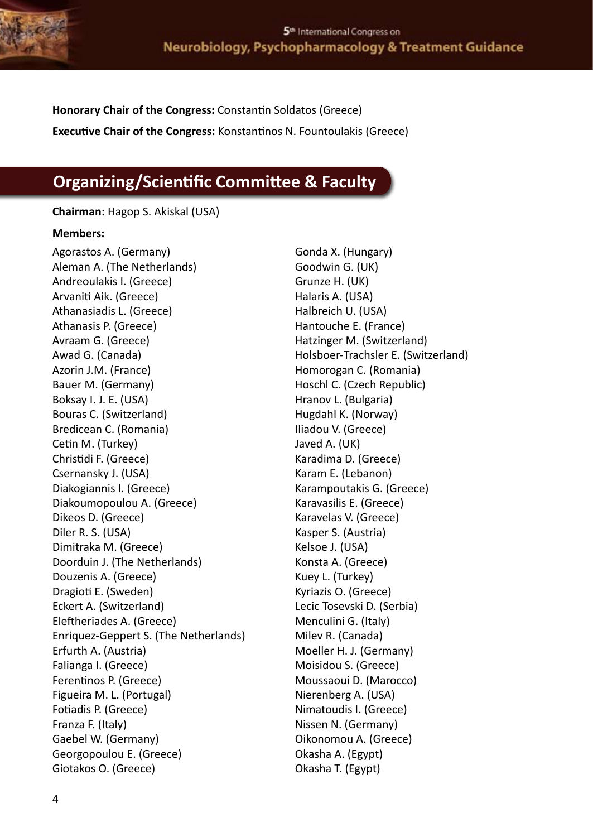

**Honorary Chair of the Congress:** Constantin Soldatos (Greece) **Executive Chair of the Congress:** Konstantinos N. Fountoulakis (Greece)

## **Organizing/Scientific Committee & Faculty**

#### **Chairman:** Hagop S. Akiskal (USA)

#### **Members:**

Agorastos A. (Germany) Aleman A. (The Netherlands) Andreoulakis I. (Greece) Arvaniti Aik. (Greece) Athanasiadis L. (Greece) Athanasis P. (Greece) Avraam G. (Greece) Awad G. (Canada) Azorin J.M. (France) Bauer M. (Germany) Boksay I. J. E. (USA) Bouras C. (Switzerland) Bredicean C. (Romania) Cetin M. (Turkey) Christidi F. (Greece) Csernansky J. (USA) Diakogiannis I. (Greece) Diakoumopoulou A. (Greece) Dikeos D. (Greece) Diler R. S. (USA) Dimitraka M. (Greece) Doorduin J. (The Netherlands) Douzenis A. (Greece) Dragioti E. (Sweden) Eckert A. (Switzerland) Eleftheriades A. (Greece) Enriquez-Geppert S. (The Netherlands) Erfurth A. (Austria) Falianga I. (Greece) Ferentinos P. (Greece) Figueira M. L. (Portugal) Fotiadis P. (Greece) Franza F. (Italy) Gaebel W. (Germany) Georgopoulou E. (Greece) Giotakos O. (Greece)

Gonda X. (Hungary) Goodwin G. (UK) Grunze H. (UK) Halaris A. (USA) Halbreich U. (USA) Hantouche E. (France) Hatzinger M. (Switzerland) Holsboer-Trachsler E. (Switzerland) Homorogan C. (Romania) Hoschl C. (Czech Republic) Hranov L. (Bulgaria) Hugdahl K. (Norway) Iliadou V. (Greece) Javed A. (UK) Karadima D. (Greece) Karam E. (Lebanon) Karampoutakis G. (Greece) Karavasilis E. (Greece) Karavelas V. (Greece) Kasper S. (Austria) Kelsoe J. (USA) Konsta A. (Greece) Kuey L. (Turkey) Kyriazis O. (Greece) Lecic Tosevski D. (Serbia) Menculini G. (Italy) Milev R. (Canada) Moeller H. J. (Germany) Moisidou S. (Greece) Moussaoui D. (Marocco) Nierenberg A. (USA) Nimatoudis I. (Greece) Nissen N. (Germany) Oikonomou A. (Greece) Okasha A. (Egypt) Okasha T. (Egypt)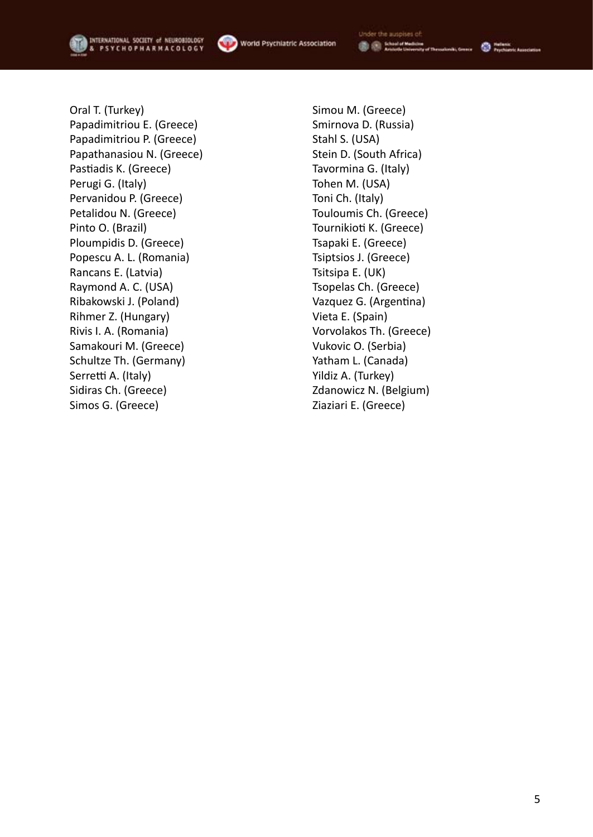

Oral T. (Turkey) Papadimitriou E. (Greece) Papadimitriou P. (Greece) Papathanasiou N. (Greece) Pastiadis K. (Greece) Perugi G. (Italy) Pervanidou P. (Greece) Petalidou N. (Greece) Pinto O. (Brazil) Ploumpidis D. (Greece) Popescu A. L. (Romania) Rancans E. (Latvia) Raymond A. C. (USA) Ribakowski J. (Poland) Rihmer Z. (Hungary) Rivis I. A. (Romania) Samakouri M. (Greece) Schultze Th. (Germany) Serretti A. (Italy) Sidiras Ch. (Greece) Simos G. (Greece)

Simou M. (Greece) Smirnova D. (Russia) Stahl S. (USA) Stein D. (South Africa) Tavormina G. (Italy) Tohen M. (USA) Toni Ch. (Italy) Touloumis Ch. (Greece) Tournikioti K. (Greece) Tsapaki E. (Greece) Tsiptsios J. (Greece) Tsitsipa E. (UK) Tsopelas Ch. (Greece) Vazquez G. (Argentina) Vieta E. (Spain) Vorvolakos Th. (Greece) Vukovic O. (Serbia) Yatham L. (Canada) Yildiz A. (Turkey) Zdanowicz N. (Belgium) Ziaziari E. (Greece)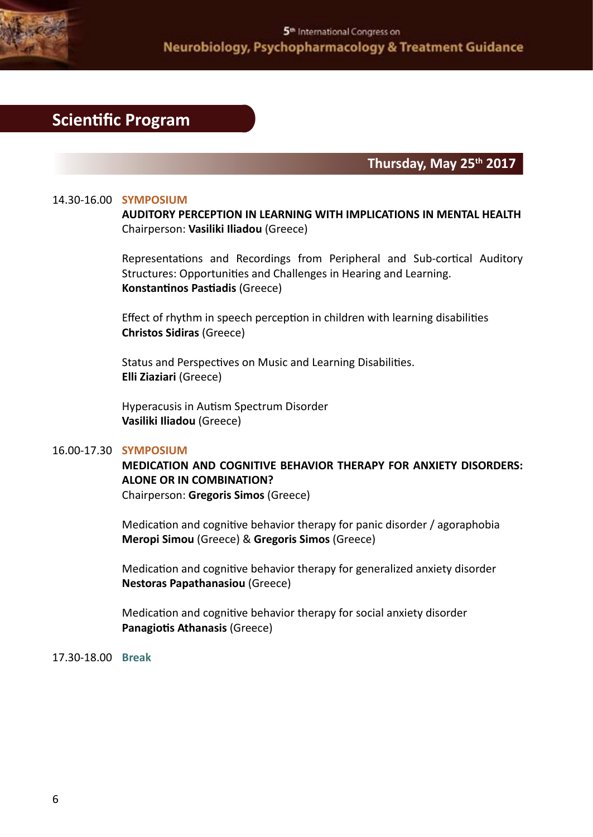

### **Scientific Program**

#### **Thursday, May 25th 2017**

#### 14.30-16.00 **SYMPOSIUM**

**AUDITORY PERCEPTION IN LEARNING WITH IMPLICATIONS IN MENTAL HEALTH** Chairperson: **Vasiliki Iliadou** (Greece)

Representations and Recordings from Peripheral and Sub-cortical Auditory Structures: Opportunities and Challenges in Hearing and Learning. **Konstantinos Pastiadis** (Greece)

Effect of rhythm in speech perception in children with learning disabilities **Christos Sidiras** (Greece)

Status and Perspectives on Music and Learning Disabilities. **Elli Ziaziari** (Greece)

Hyperacusis in Autism Spectrum Disorder **Vasiliki Iliadou** (Greece)

#### 16.00-17.30 **SYMPOSIUM**

**MEDICATION AND COGNITIVE BEHAVIOR THERAPY FOR ANXIETY DISORDERS: ALONE OR IN COMBINATION?**

Chairperson: **Gregoris Simos** (Greece)

Medication and cognitive behavior therapy for panic disorder / agoraphobia **Meropi Simou** (Greece) & **Gregoris Simos** (Greece)

Medication and cognitive behavior therapy for generalized anxiety disorder **Nestoras Papathanasiou** (Greece)

Medication and cognitive behavior therapy for social anxiety disorder **Panagiotis Athanasis** (Greece)

17.30-18.00 **Break**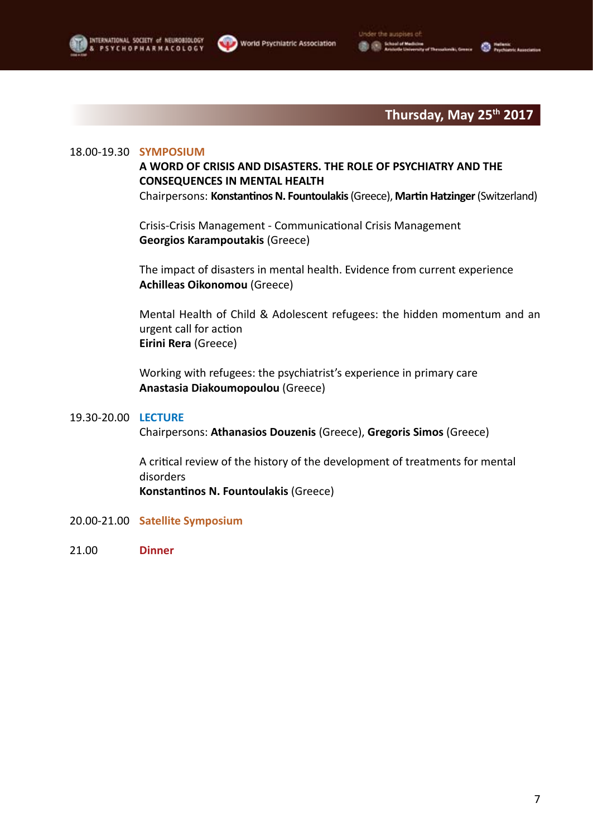

#### **Thursday, May 25th 2017**

#### 18.00-19.30 **SYMPOSIUM**

#### **A WORD OF CRISIS AND DISASTERS. THE ROLE OF PSYCHIATRY AND THE CONSEQUENCES IN MENTAL HEALTH**

Chairpersons: **Konstantinos N. Fountoulakis** (Greece), **Martin Hatzinger** (Switzerland)

Crisis-Crisis Management - Communicational Crisis Management **Georgios Karampoutakis** (Greece)

The impact of disasters in mental health. Evidence from current experience **Achilleas Oikonomou** (Greece)

Mental Health of Child & Adolescent refugees: the hidden momentum and an urgent call for action **Eirini Rera** (Greece)

Working with refugees: the psychiatrist's experience in primary care **Anastasia Diakoumopoulou** (Greece)

#### 19.30-20.00 **LECTURE**

Chairpersons: **Athanasios Douzenis** (Greece), **Gregoris Simos** (Greece)

A critical review of the history of the development of treatments for mental disorders **Konstantinos N. Fountoulakis** (Greece)

- 20.00-21.00 **Satellite Symposium**
- 21.00 **Dinner**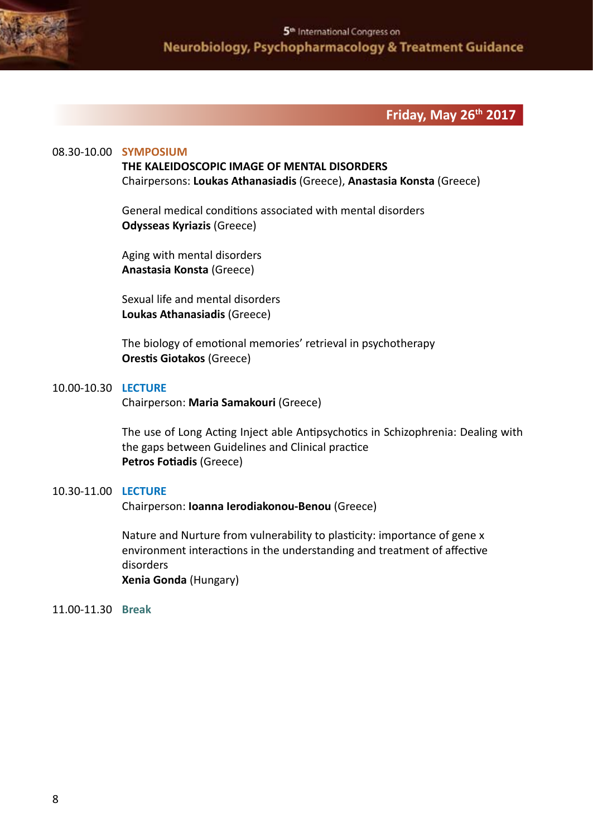

#### 08.30-10.00 **SYMPOSIUM**

**THE KALEIDOSCOPIC IMAGE OF MENTAL DISORDERS** Chairpersons: **Loukas Athanasiadis** (Greece), **Anastasia Konsta** (Greece)

General medical conditions associated with mental disorders **Odysseas Kyriazis** (Greece)

Aging with mental disorders **Anastasia Konsta** (Greece)

Sexual life and mental disorders **Loukas Athanasiadis** (Greece)

The biology of emotional memories' retrieval in psychotherapy **Orestis Giotakos** (Greece)

#### 10.00-10.30 **LECTURE**

Chairperson: **Maria Samakouri** (Greece)

The use of Long Acting Inject able Antipsychotics in Schizophrenia: Dealing with the gaps between Guidelines and Clinical practice **Petros Fotiadis** (Greece)

#### 10.30-11.00 **LECTURE**

Chairperson: **Ioanna Ierodiakonou-Benou** (Greece)

Nature and Nurture from vulnerability to plasticity: importance of gene x environment interactions in the understanding and treatment of affective disorders **Xenia Gonda** (Hungary)

#### 11.00-11.30 **Break**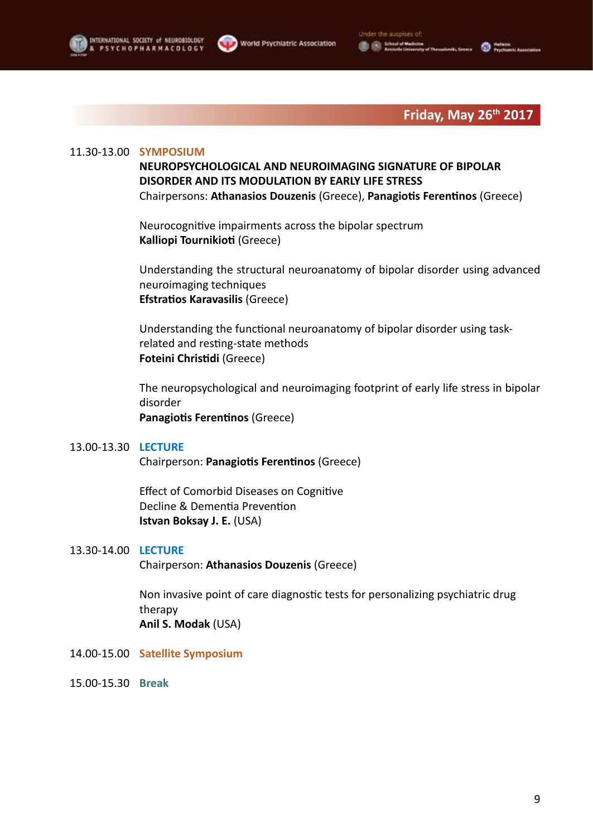

المستحدث والمساه

#### 11.30-13.00 **SYMPOSIUM**

#### **NEUROPSYCHOLOGICAL AND NEUROIMAGING SIGNATURE OF BIPOLAR DISORDER AND ITS MODULATION BY EARLY LIFE STRESS** Chairpersons: **Athanasios Douzenis** (Greece), **Panagiotis Ferentinos** (Greece)

Neurocognitive impairments across the bipolar spectrum **Kalliopi Tournikioti** (Greece)

Understanding the structural neuroanatomy of bipolar disorder using advanced neuroimaging techniques **Efstratios Karavasilis** (Greece)

Understanding the functional neuroanatomy of bipolar disorder using taskrelated and resting-state methods **Foteini Christidi** (Greece)

The neuropsychological and neuroimaging footprint of early life stress in bipolar disorder **Panagiotis Ferentinos** (Greece)

#### 13.00-13.30 **LECTURE**

Chairperson: **Panagiotis Ferentinos** (Greece)

Effect of Comorbid Diseases on Cognitive Decline & Dementia Prevention **Istvan Boksay J. E.** (USA)

#### 13.30-14.00 **LECTURE**

Chairperson: **Athanasios Douzenis** (Greece)

Non invasive point of care diagnostic tests for personalizing psychiatric drug therapy **Anil S. Modak** (USA)

- 14.00-15.00 **Satellite Symposium**
- 15.00-15.30 **Break**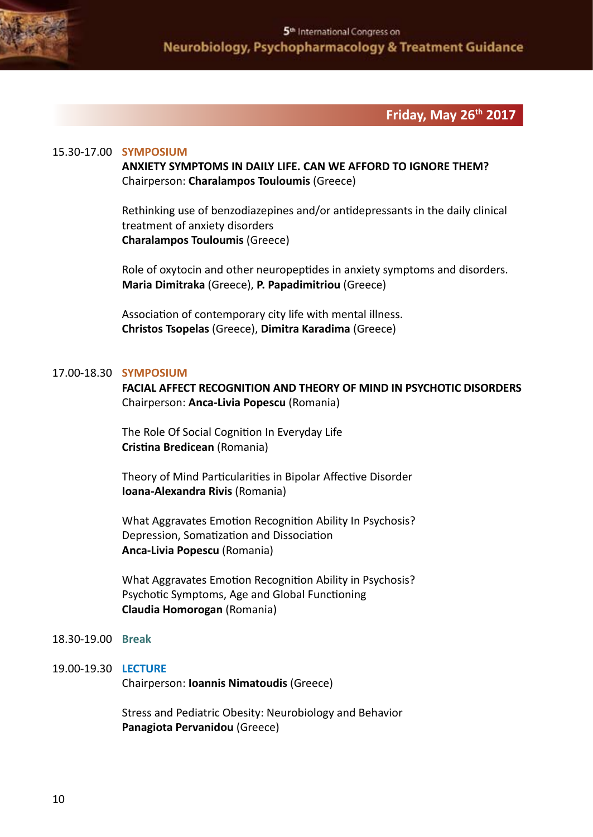

#### 15.30-17.00 **SYMPOSIUM**

**ANXIETY SYMPTOMS IN DAILY LIFE. CAN WE AFFORD TO IGNORE THEM?** Chairperson: **Charalampos Touloumis** (Greece)

Rethinking use of benzodiazepines and/or antidepressants in the daily clinical treatment of anxiety disorders **Charalampos Touloumis** (Greece)

Role of oxytocin and other neuropeptides in anxiety symptoms and disorders. **Maria Dimitraka** (Greece), **P. Papadimitriou** (Greece)

Association of contemporary city life with mental illness. **Christos Tsopelas** (Greece), **Dimitra Karadima** (Greece)

#### 17.00-18.30 **SYMPOSIUM**

**FACIAL AFFECT RECOGNITION AND THEORY OF MIND IN PSYCHOTIC DISORDERS** Chairperson: **Anca-Livia Popescu** (Romania)

The Role Of Social Cognition In Everyday Life **Cristina Bredicean** (Romania)

Theory of Mind Particularities in Bipolar Affective Disorder **Ioana-Alexandra Rivis** (Romania)

What Aggravates Emotion Recognition Ability In Psychosis? Depression, Somatization and Dissociation **Anca-Livia Popescu** (Romania)

What Aggravates Emotion Recognition Ability in Psychosis? Psychotic Symptoms, Age and Global Functioning **Claudia Homorogan** (Romania)

#### 18.30-19.00 **Break**

#### 19.00-19.30 **LECTURE**

Chairperson: **Ioannis Nimatoudis** (Greece)

Stress and Pediatric Obesity: Neurobiology and Behavior **Panagiota Pervanidou** (Greece)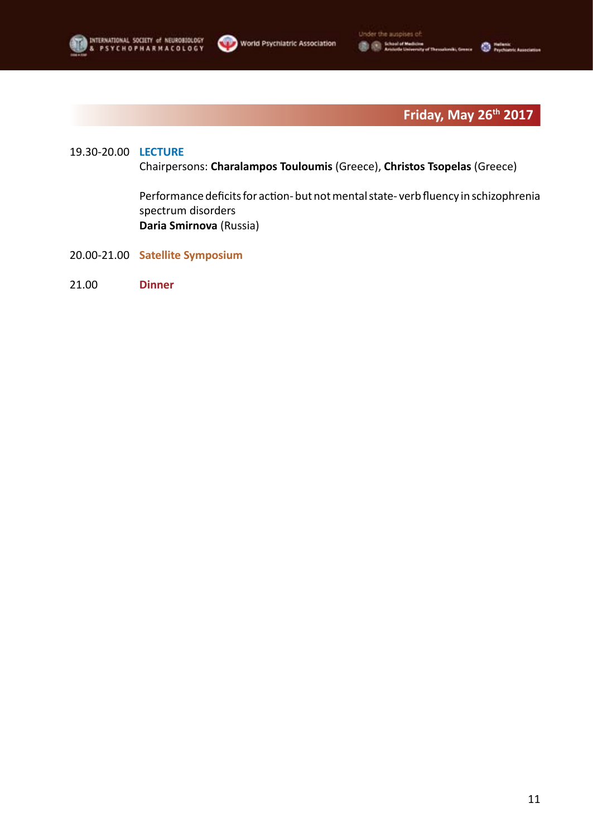

#### 19.30-20.00 **LECTURE**

Chairpersons: **Charalampos Touloumis** (Greece), **Christos Tsopelas** (Greece)

Performance deficits for action- but not mental state- verb fluency in schizophrenia spectrum disorders **Daria Smirnova** (Russia)

- 20.00-21.00 **Satellite Symposium**
- 21.00 **Dinner**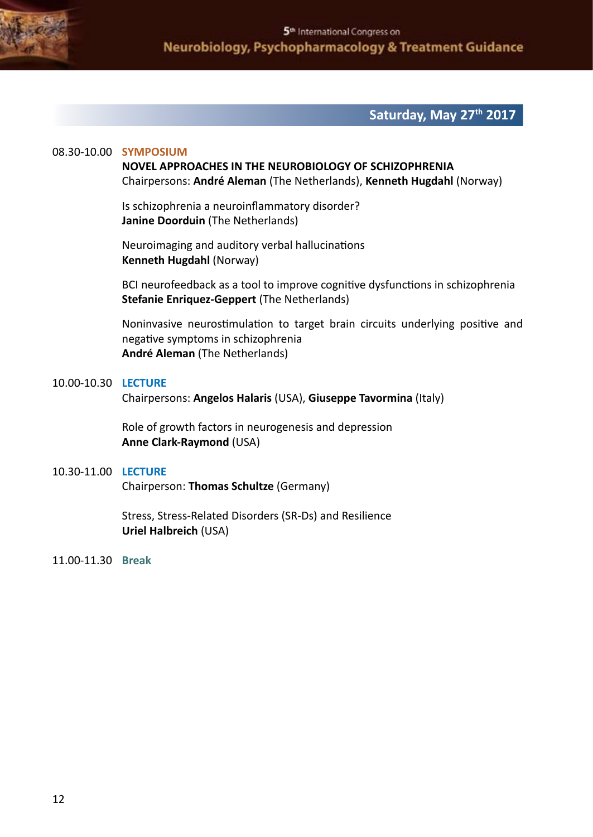

**Saturday, May 27th 2017**

#### 08.30-10.00 **SYMPOSIUM**

**NOVEL APPROACHES IN THE NEUROBIOLOGY OF SCHIZOPHRENIA** Chairpersons: **André Aleman** (The Netherlands), **Kenneth Hugdahl** (Norway)

Is schizophrenia a neuroinflammatory disorder? **Janine Doorduin** (The Netherlands)

Neuroimaging and auditory verbal hallucinations **Kenneth Hugdahl** (Norway)

BCI neurofeedback as a tool to improve cognitive dysfunctions in schizophrenia **Stefanie Enriquez-Geppert** (The Netherlands)

Noninvasive neurostimulation to target brain circuits underlying positive and negative symptoms in schizophrenia **André Aleman** (The Netherlands)

#### 10.00-10.30 **LECTURE**

Chairpersons: **Angelos Halaris** (USA), **Giuseppe Tavormina** (Italy)

Role of growth factors in neurogenesis and depression **Anne Clark-Raymond** (USA)

#### 10.30-11.00 **LECTURE**

Chairperson: **Thomas Schultze** (Germany)

Stress, Stress-Related Disorders (SR-Ds) and Resilience **Uriel Halbreich** (USA)

11.00-11.30 **Break**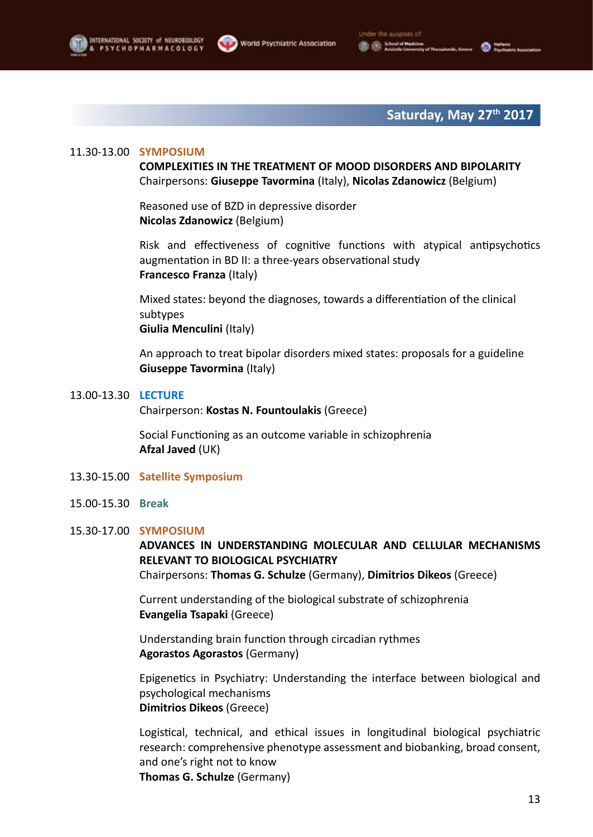

#### **Saturday, May 27th 2017**

#### 11.30-13.00 **SYMPOSIUM**

**COMPLEXITIES IN THE TREATMENT OF MOOD DISORDERS AND BIPOLARITY** Chairpersons: **Giuseppe Tavormina** (Italy), **Nicolas Zdanowicz** (Belgium)

Reasoned use of BZD in depressive disorder **Nicolas Zdanowicz** (Belgium)

Risk and effectiveness of cognitive functions with atypical antipsychotics augmentation in BD II: a three-years observational study **Francesco Franza** (Italy)

Mixed states: beyond the diagnoses, towards a differentiation of the clinical subtypes **Giulia Menculini** (Italy)

An approach to treat bipolar disorders mixed states: proposals for a guideline **Giuseppe Tavormina** (Italy)

#### 13.00-13.30 **LECTURE**

Chairperson: **Kostas N. Fountoulakis** (Greece)

Social Functioning as an outcome variable in schizophrenia **Afzal Javed** (UK)

- 13.30-15.00 **Satellite Symposium**
- 15.00-15.30 **Break**
- 15.30-17.00 **SYMPOSIUM**

**ADVANCES IN UNDERSTANDING MOLECULAR AND CELLULAR MECHANISMS RELEVANT TO BIOLOGICAL PSYCHIATRY**

Chairpersons: **Thomas G. Schulze** (Germany), **Dimitrios Dikeos** (Greece)

Current understanding of the biological substrate of schizophrenia **Evangelia Tsapaki** (Greece)

Understanding brain function through circadian rythmes **Agorastos Agorastos** (Germany)

Epigenetics in Psychiatry: Understanding the interface between biological and psychological mechanisms **Dimitrios Dikeos** (Greece)

Logistical, technical, and ethical issues in longitudinal biological psychiatric research: comprehensive phenotype assessment and biobanking, broad consent, and one's right not to know **Thomas G. Schulze** (Germany)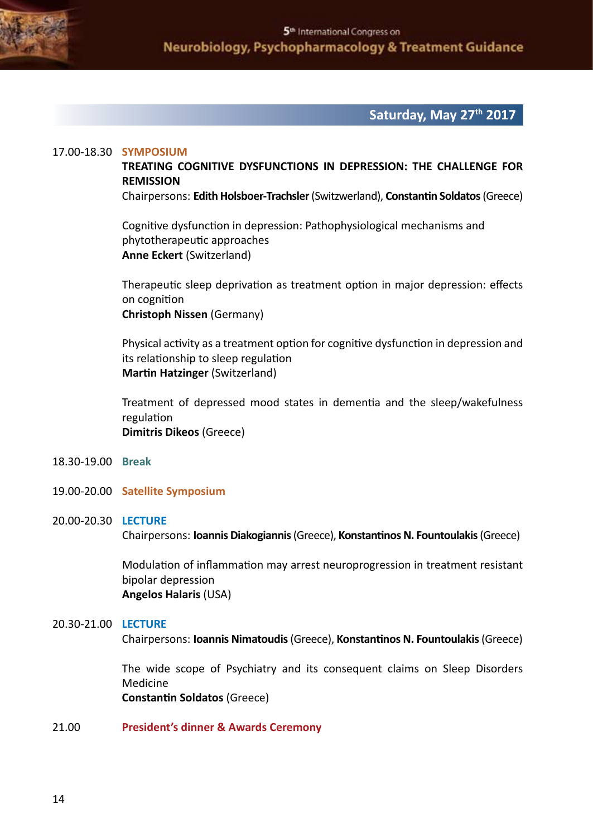

#### **Saturday, May 27th 2017**

#### 17.00-18.30 **SYMPOSIUM**

**TREATING COGNITIVE DYSFUNCTIONS IN DEPRESSION: THE CHALLENGE FOR REMISSION**

Chairpersons: **Edith Holsboer-Trachsler** (Switzwerland), **Constantin Soldatos** (Greece)

Cognitive dysfunction in depression: Pathophysiological mechanisms and phytotherapeutic approaches **Anne Eckert** (Switzerland)

Therapeutic sleep deprivation as treatment option in major depression: effects on cognition **Christoph Nissen** (Germany)

Physical activity as a treatment option for cognitive dysfunction in depression and its relationship to sleep regulation **Martin Hatzinger** (Switzerland)

Treatment of depressed mood states in dementia and the sleep/wakefulness regulation **Dimitris Dikeos** (Greece)

- 18.30-19.00 **Break**
- 19.00-20.00 **Satellite Symposium**

#### 20.00-20.30 **LECTURE**

Chairpersons: **Ioannis Diakogiannis** (Greece), **Konstantinos N. Fountoulakis** (Greece)

Modulation of inflammation may arrest neuroprogression in treatment resistant bipolar depression **Angelos Halaris** (USA)

#### 20.30-21.00 **LECTURE**

Chairpersons: **Ioannis Nimatoudis** (Greece), **Konstantinos N. Fountoulakis** (Greece)

The wide scope of Psychiatry and its consequent claims on Sleep Disorders Medicine **Constantin Soldatos** (Greece)

21.00 **President's dinner & Awards Ceremony**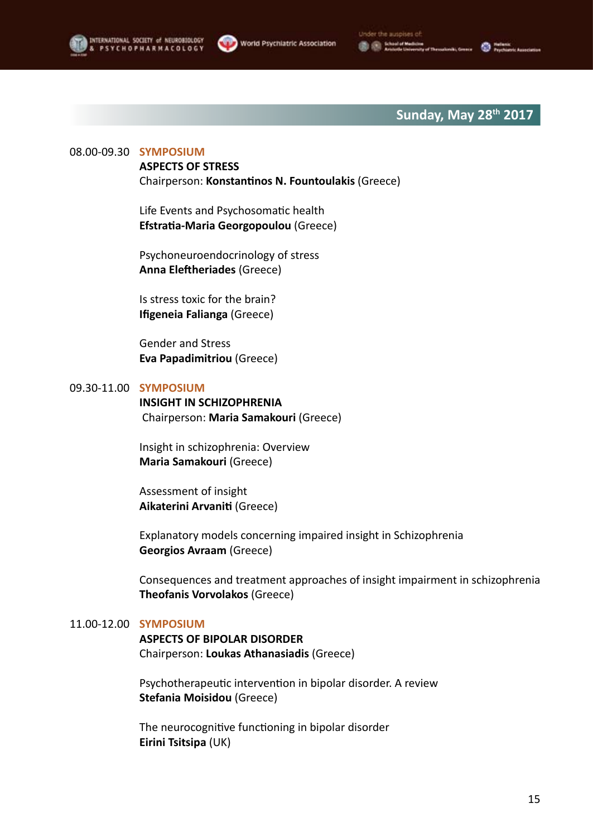

**60** National Association

#### **Sunday, May 28th 2017**

المستردين

#### 08.00-09.30 **SYMPOSIUM**

**ASPECTS OF STRESS** Chairperson: **Konstantinos N. Fountoulakis** (Greece)

Life Events and Psychosomatic health **Efstratia-Maria Georgopoulou** (Greece)

Psychoneuroendocrinology of stress **Anna Eleftheriades** (Greece)

Is stress toxic for the brain? **Ifigeneia Falianga** (Greece)

Gender and Stress **Eva Papadimitriou** (Greece)

#### 09.30-11.00 **SYMPOSIUM**

**INSIGHT IN SCHIZOPHRENIA** Chairperson: **Maria Samakouri** (Greece)

Insight in schizophrenia: Overview **Maria Samakouri** (Greece)

Assessment of insight **Aikaterini Arvaniti** (Greece)

Explanatory models concerning impaired insight in Schizophrenia **Georgios Avraam** (Greece)

Consequences and treatment approaches of insight impairment in schizophrenia **Theofanis Vorvolakos** (Greece)

#### 11.00-12.00 **SYMPOSIUM**

**ASPECTS OF BIPOLAR DISORDER** Chairperson: **Loukas Athanasiadis** (Greece)

Psychotherapeutic intervention in bipolar disorder. A review **Stefania Moisidou** (Greece)

The neurocognitive functioning in bipolar disorder **Eirini Tsitsipa** (UK)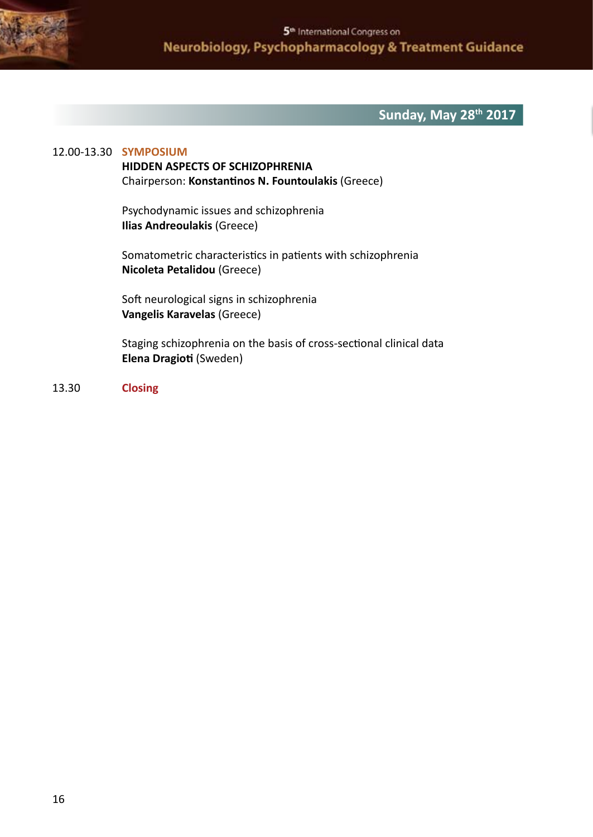

**Sunday, May 28th 2017**

#### 12.00-13.30 **SYMPOSIUM**

#### **HIDDEN ASPECTS OF SCHIZOPHRENIA** Chairperson: **Konstantinos N. Fountoulakis** (Greece)

Psychodynamic issues and schizophrenia **Ilias Andreoulakis** (Greece)

Somatometric characteristics in patients with schizophrenia **Nicoleta Petalidou** (Greece)

Soft neurological signs in schizophrenia **Vangelis Karavelas** (Greece)

Staging schizophrenia on the basis of cross-sectional clinical data **Elena Dragioti** (Sweden)

13.30 **Closing**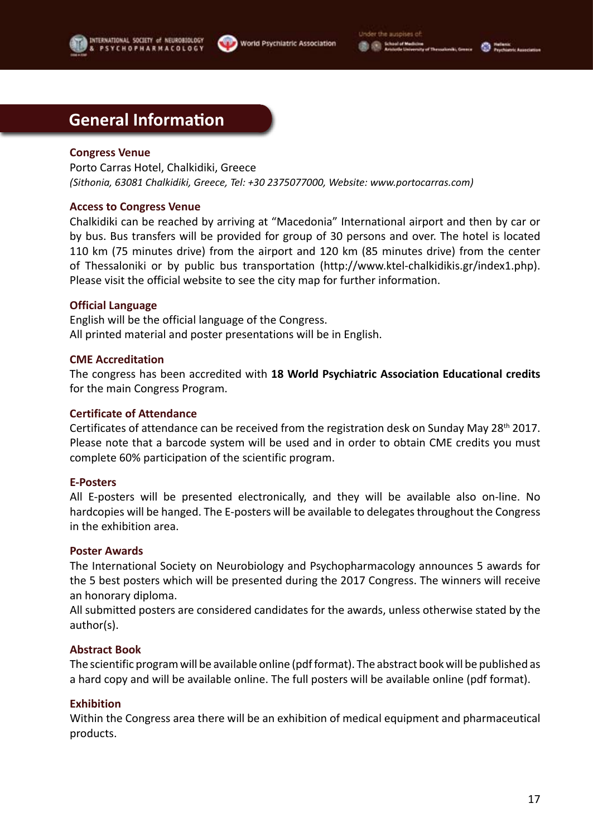

### **General Information**

#### **Congress Venue**

Porto Carras Hotel, Chalkidiki, Greece *(Sithonia, 63081 Chalkidiki, Greece, Tel: +30 2375077000, Website: www.portocarras.com)*

#### **Access to Congress Venue**

Chalkidiki can be reached by arriving at "Macedonia" International airport and then by car or by bus. Bus transfers will be provided for group of 30 persons and over. The hotel is located 110 km (75 minutes drive) from the airport and 120 km (85 minutes drive) from the center of Thessaloniki or by public bus transportation (http://www.ktel-chalkidikis.gr/index1.php). Please visit the official website to see the city map for further information.

#### **Official Language**

English will be the official language of the Congress. All printed material and poster presentations will be in English.

#### **CME Accreditation**

The congress has been accredited with **18 World Psychiatric Association Educational credits**  for the main Congress Program.

#### **Certificate of Attendance**

Certificates of attendance can be received from the registration desk on Sunday May 28th 2017. Please note that a barcode system will be used and in order to obtain CME credits you must complete 60% participation of the scientific program.

#### **E-Posters**

All E-posters will be presented electronically, and they will be available also on-line. No hardcopies will be hanged. The E-posters will be available to delegates throughout the Congress in the exhibition area.

#### **Poster Awards**

The International Society on Neurobiology and Psychopharmacology announces 5 awards for the 5 best posters which will be presented during the 2017 Congress. The winners will receive an honorary diploma.

All submitted posters are considered candidates for the awards, unless otherwise stated by the author(s).

#### **Abstract Book**

The scientific program will be available online (pdf format). The abstract book will be published as a hard copy and will be available online. The full posters will be available online (pdf format).

#### **Exhibition**

Within the Congress area there will be an exhibition of medical equipment and pharmaceutical products.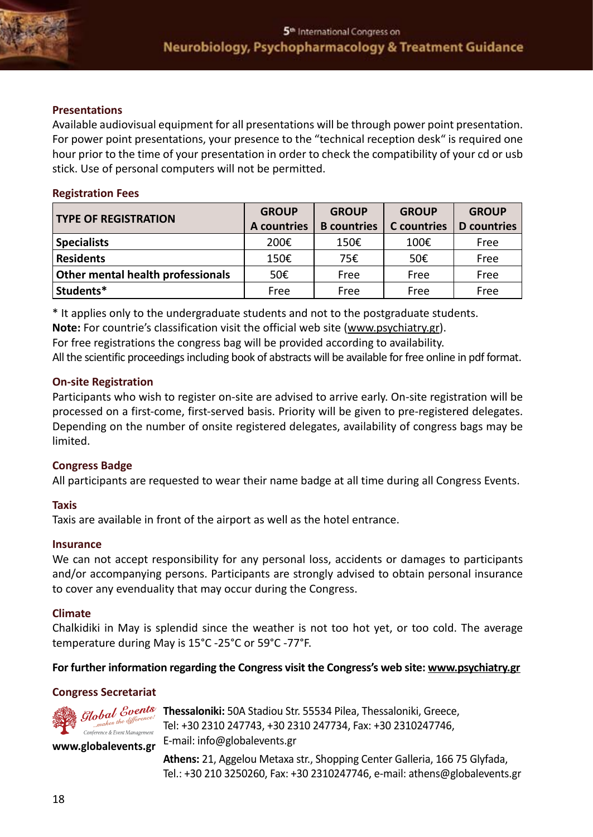

#### **Presentations**

Available audiovisual equipment for all presentations will be through power point presentation. For power point presentations, your presence to the "technical reception desk" is required one hour prior to the time of your presentation in order to check the compatibility of your cd or usb stick. Use of personal computers will not be permitted.

#### **Registration Fees**

| <b>TYPE OF REGISTRATION</b>       | <b>GROUP</b> | <b>GROUP</b>       | <b>GROUP</b> | <b>GROUP</b>       |
|-----------------------------------|--------------|--------------------|--------------|--------------------|
|                                   | A countries  | <b>B</b> countries | C countries  | <b>D</b> countries |
| <b>Specialists</b>                | 200€         | 150€               | 100€         | Free               |
| <b>Residents</b>                  | 150€         | 75€                | 50€          | Free               |
| Other mental health professionals | 50€          | Free               | Free         | Free               |
| Students*                         | Free         | Free               | Free         | Free               |

\* It applies only to the undergraduate students and not to the postgraduate students.

**Note:** For countrie's classification visit the official web site (www.psychiatry.gr).

For free registrations the congress bag will be provided according to availability.

All the scientific proceedings including book of abstracts will be available for free online in pdf format.

#### **On-site Registration**

Participants who wish to register on-site are advised to arrive early. On-site registration will be processed on a first-come, first-served basis. Priority will be given to pre-registered delegates. Depending on the number of onsite registered delegates, availability of congress bags may be limited.

#### **Congress Badge**

All participants are requested to wear their name badge at all time during all Congress Events.

#### **Taxis**

Taxis are available in front of the airport as well as the hotel entrance.

#### **Insurance**

We can not accept responsibility for any personal loss, accidents or damages to participants and/or accompanying persons. Participants are strongly advised to obtain personal insurance to cover any evenduality that may occur during the Congress.

#### **Climate**

Chalkidiki in May is splendid since the weather is not too hot yet, or too cold. The average temperature during May is 15°C -25°C or 59°C -77°F.

#### **For further information regarding the Congress visit the Congress's web site: www.psychiatry.gr**

#### **Congress Secretariat**



**Thessaloniki:** 50A Stadiou Str. 55534 Pilea, Thessaloniki, Greece, Tel: +30 2310 247743, +30 2310 247734, Fax: +30 2310247746, E-mail: info@globalevents.gr

**Athens:** 21, Aggelou Metaxa str., Shopping Center Galleria, 166 75 Glyfada, Tel.: +30 210 3250260, Fax: +30 2310247746, e-mail: athens@globalevents.gr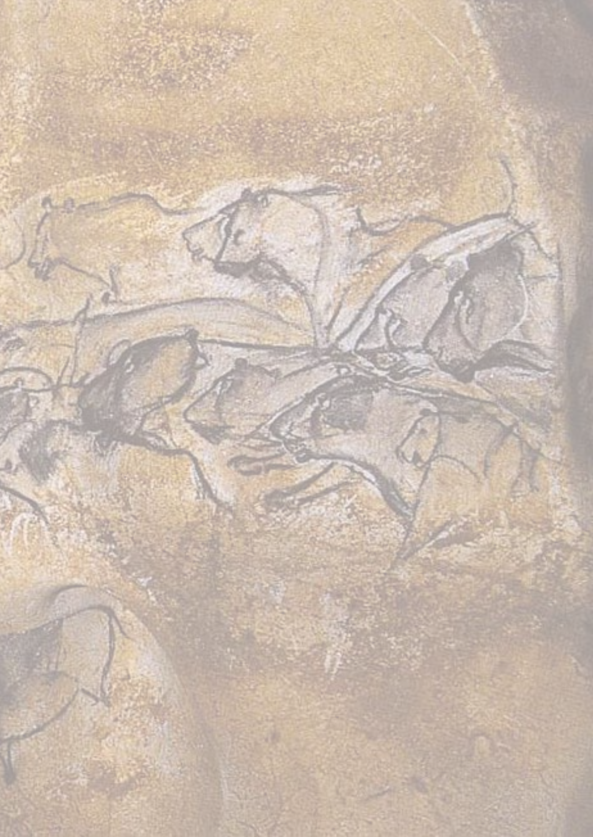